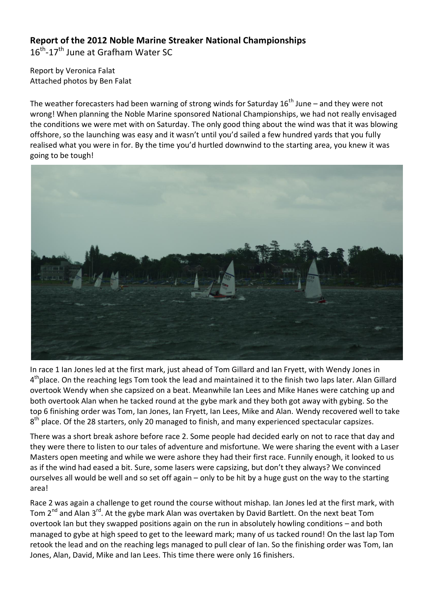## **Report of the 2012 Noble Marine Streaker National Championships**

16<sup>th</sup>-17<sup>th</sup> June at Grafham Water SC

Report by Veronica Falat Attached photos by Ben Falat

The weather forecasters had been warning of strong winds for Saturday  $16<sup>th</sup>$  June – and they were not wrong! When planning the Noble Marine sponsored National Championships, we had not really envisaged the conditions we were met with on Saturday. The only good thing about the wind was that it was blowing offshore, so the launching was easy and it wasn't until you'd sailed a few hundred yards that you fully realised what you were in for. By the time you'd hurtled downwind to the starting area, you knew it was going to be tough!



In race 1 Ian Jones led at the first mark, just ahead of Tom Gillard and Ian Fryett, with Wendy Jones in 4<sup>th</sup>place. On the reaching legs Tom took the lead and maintained it to the finish two laps later. Alan Gillard overtook Wendy when she capsized on a beat. Meanwhile Ian Lees and Mike Hanes were catching up and both overtook Alan when he tacked round at the gybe mark and they both got away with gybing. So the top 6 finishing order was Tom, Ian Jones, Ian Fryett, Ian Lees, Mike and Alan. Wendy recovered well to take  $8<sup>th</sup>$  place. Of the 28 starters, only 20 managed to finish, and many experienced spectacular capsizes.

There was a short break ashore before race 2. Some people had decided early on not to race that day and they were there to listen to our tales of adventure and misfortune. We were sharing the event with a Laser Masters open meeting and while we were ashore they had their first race. Funnily enough, it looked to us as if the wind had eased a bit. Sure, some lasers were capsizing, but don't they always? We convinced ourselves all would be well and so set off again – only to be hit by a huge gust on the way to the starting area!

Race 2 was again a challenge to get round the course without mishap. Ian Jones led at the first mark, with Tom 2<sup>nd</sup> and Alan 3<sup>rd</sup>. At the gybe mark Alan was overtaken by David Bartlett. On the next beat Tom overtook Ian but they swapped positions again on the run in absolutely howling conditions – and both managed to gybe at high speed to get to the leeward mark; many of us tacked round! On the last lap Tom retook the lead and on the reaching legs managed to pull clear of Ian. So the finishing order was Tom, Ian Jones, Alan, David, Mike and Ian Lees. This time there were only 16 finishers.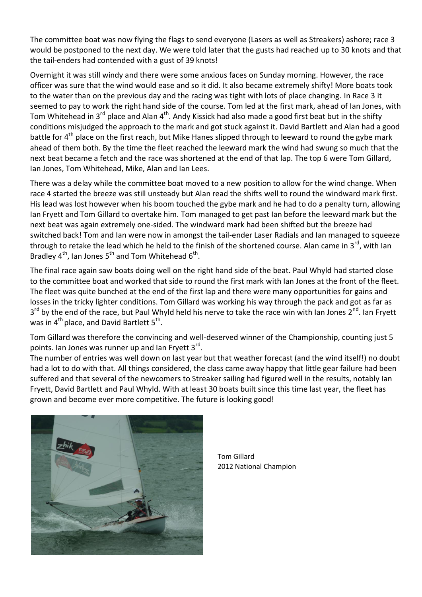The committee boat was now flying the flags to send everyone (Lasers as well as Streakers) ashore; race 3 would be postponed to the next day. We were told later that the gusts had reached up to 30 knots and that the tail-enders had contended with a gust of 39 knots!

Overnight it was still windy and there were some anxious faces on Sunday morning. However, the race officer was sure that the wind would ease and so it did. It also became extremely shifty! More boats took to the water than on the previous day and the racing was tight with lots of place changing. In Race 3 it seemed to pay to work the right hand side of the course. Tom led at the first mark, ahead of Ian Jones, with Tom Whitehead in 3<sup>rd</sup> place and Alan 4<sup>th</sup>. Andy Kissick had also made a good first beat but in the shifty conditions misjudged the approach to the mark and got stuck against it. David Bartlett and Alan had a good battle for 4<sup>th</sup> place on the first reach, but Mike Hanes slipped through to leeward to round the gybe mark ahead of them both. By the time the fleet reached the leeward mark the wind had swung so much that the next beat became a fetch and the race was shortened at the end of that lap. The top 6 were Tom Gillard, Ian Jones, Tom Whitehead, Mike, Alan and Ian Lees.

There was a delay while the committee boat moved to a new position to allow for the wind change. When race 4 started the breeze was still unsteady but Alan read the shifts well to round the windward mark first. His lead was lost however when his boom touched the gybe mark and he had to do a penalty turn, allowing Ian Fryett and Tom Gillard to overtake him. Tom managed to get past Ian before the leeward mark but the next beat was again extremely one-sided. The windward mark had been shifted but the breeze had switched back! Tom and Ian were now in amongst the tail-ender Laser Radials and Ian managed to squeeze through to retake the lead which he held to the finish of the shortened course. Alan came in 3<sup>rd</sup>, with Ian Bradley 4<sup>th</sup>, Ian Jones 5<sup>th</sup> and Tom Whitehead 6<sup>th</sup>.

The final race again saw boats doing well on the right hand side of the beat. Paul Whyld had started close to the committee boat and worked that side to round the first mark with Ian Jones at the front of the fleet. The fleet was quite bunched at the end of the first lap and there were many opportunities for gains and losses in the tricky lighter conditions. Tom Gillard was working his way through the pack and got as far as 3<sup>rd</sup> by the end of the race, but Paul Whyld held his nerve to take the race win with Ian Jones 2<sup>nd</sup>. Ian Fryett was in  $4^{th}$  place, and David Bartlett  $5^{th}$ .

Tom Gillard was therefore the convincing and well-deserved winner of the Championship, counting just 5 points. Ian Jones was runner up and Ian Fryett 3<sup>rd</sup>.

The number of entries was well down on last year but that weather forecast (and the wind itself!) no doubt had a lot to do with that. All things considered, the class came away happy that little gear failure had been suffered and that several of the newcomers to Streaker sailing had figured well in the results, notably Ian Fryett, David Bartlett and Paul Whyld. With at least 30 boats built since this time last year, the fleet has grown and become ever more competitive. The future is looking good!



Tom Gillard 2012 National Champion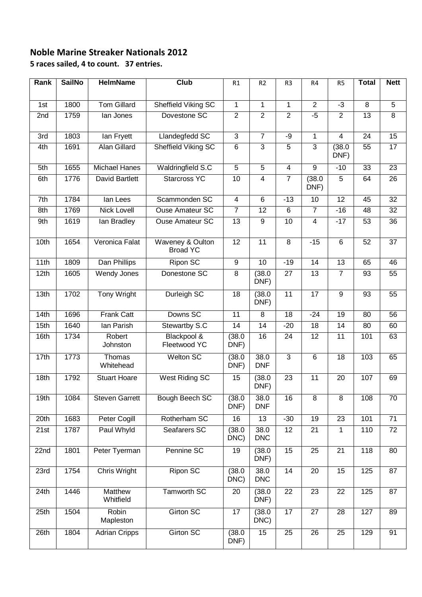## **Noble Marine Streaker Nationals 2012 5 races sailed, 4 to count. 37 entries.**

| Rank | <b>SailNo</b> | <b>HelmName</b>       | Club                                | R1                             | R <sub>2</sub>                 | R <sub>3</sub>                 | R4              | R <sub>5</sub>         | <b>Total</b>         | <b>Nett</b>         |
|------|---------------|-----------------------|-------------------------------------|--------------------------------|--------------------------------|--------------------------------|-----------------|------------------------|----------------------|---------------------|
|      |               | <b>Tom Gillard</b>    |                                     |                                |                                |                                | $\overline{2}$  |                        |                      |                     |
| 1st  | 1800          | lan Jones             | Sheffield Viking SC<br>Dovestone SC | $\mathbf{1}$<br>$\overline{2}$ | $\mathbf{1}$<br>$\overline{2}$ | $\mathbf{1}$<br>$\overline{2}$ | $-5$            | $-3$<br>$\overline{2}$ | 8<br>$\overline{13}$ | 5<br>$\overline{8}$ |
| 2nd  | 1759          |                       |                                     |                                |                                |                                |                 |                        |                      |                     |
| 3rd  | 1803          | lan Fryett            | <b>Llandegfedd SC</b>               | $\overline{3}$                 | $\overline{7}$                 | $-9$                           | $\mathbf{1}$    | $\overline{4}$         | 24                   | $\overline{15}$     |
| 4th  | 1691          | <b>Alan Gillard</b>   | Sheffield Viking SC                 | $\,6$                          | $\overline{3}$                 | $\overline{5}$                 | 3               | (38.0)<br>DNF)         | 55                   | 17                  |
| 5th  | 1655          | <b>Michael Hanes</b>  | Waldringfield S.C                   | $\overline{5}$                 | $\overline{5}$                 | $\overline{\mathbf{4}}$        | $\overline{9}$  | $-10$                  | 33                   | 23                  |
| 6th  | 1776          | David Bartlett        | <b>Starcross YC</b>                 | 10                             | $\overline{4}$                 | $\overline{7}$                 | (38.0)<br>DNF)  | 5                      | 64                   | 26                  |
| 7th  | 1784          | lan Lees              | Scammonden SC                       | $\overline{\mathbf{4}}$        | $6\phantom{1}6$                | $-13$                          | $\overline{10}$ | $\overline{12}$        | 45                   | 32                  |
| 8th  | 1769          | <b>Nick Lovell</b>    | <b>Ouse Amateur SC</b>              | $\overline{7}$                 | 12                             | $6\phantom{1}$                 | $\overline{7}$  | $-16$                  | 48                   | 32                  |
| 9th  | 1619          | lan Bradley           | Ouse Amateur SC                     | $\overline{13}$                | 9                              | 10                             | $\overline{4}$  | $-17$                  | 53                   | 36                  |
| 10th | 1654          | Veronica Falat        | Waveney & Oulton<br><b>Broad YC</b> | $\overline{12}$                | 11                             | $\overline{8}$                 | $-15$           | $6\phantom{1}$         | 52                   | 37                  |
| 11th | 1809          | Dan Phillips          | <b>Ripon SC</b>                     | 9                              | 10                             | $-19$                          | 14              | $\overline{13}$        | 65                   | 46                  |
| 12th | 1605          | Wendy Jones           | Donestone SC                        | 8                              | (38.0)<br>DNF)                 | 27                             | 13              | $\overline{7}$         | 93                   | 55                  |
| 13th | 1702          | <b>Tony Wright</b>    | Durleigh SC                         | 18                             | (38.0)<br>DNF)                 | $\overline{11}$                | $\overline{17}$ | $\overline{9}$         | 93                   | 55                  |
| 14th | 1696          | <b>Frank Catt</b>     | Downs SC                            | $\overline{11}$                | 8                              | $\overline{18}$                | $-24$           | $\overline{19}$        | 80                   | $\overline{56}$     |
| 15th | 1640          | Ian Parish            | Stewartby S.C                       | 14                             | 14                             | $-20$                          | 18              | 14                     | 80                   | 60                  |
| 16th | 1734          | Robert<br>Johnston    | Blackpool &<br>Fleetwood YC         | (38.0)<br>DNF)                 | 16                             | 24                             | 12              | 11                     | 101                  | 63                  |
| 17th | 1773          | Thomas<br>Whitehead   | <b>Welton SC</b>                    | (38.0)<br>DNF)                 | 38.0<br><b>DNF</b>             | $\overline{3}$                 | $6\phantom{1}6$ | 18                     | 103                  | 65                  |
| 18th | 1792          | <b>Stuart Hoare</b>   | <b>West Riding SC</b>               | $\overline{15}$                | (38.0)<br>DNF)                 | $\overline{23}$                | 11              | $\overline{20}$        | 107                  | 69                  |
| 19th | 1084          | <b>Steven Garrett</b> | Bough Beech SC                      | (38.0)<br>DNF)                 | 38.0<br><b>DNF</b>             | 16                             | 8               | 8                      | 108                  | 70                  |
| 20th | 1683          | Peter Cogill          | Rotherham SC                        | 16                             | 13                             | $-30$                          | 19              | $\overline{23}$        | 101                  | $\overline{71}$     |
| 21st | 1787          | Paul Whyld            | Seafarers SC                        | (38.0)<br>DNC)                 | 38.0<br><b>DNC</b>             | $\overline{12}$                | 21              | $\mathbf{1}$           | 110                  | $\overline{72}$     |
| 22nd | 1801          | Peter Tyerman         | Pennine SC                          | 19                             | (38.0)<br>DNF)                 | 15                             | 25              | $\overline{21}$        | 118                  | 80                  |
| 23rd | 1754          | Chris Wright          | <b>Ripon SC</b>                     | (38.0)<br>DNC)                 | 38.0<br><b>DNC</b>             | 14                             | 20              | 15                     | 125                  | 87                  |
| 24th | 1446          | Matthew<br>Whitfield  | Tamworth SC                         | 20                             | (38.0)<br>DNF)                 | 22                             | 23              | 22                     | 125                  | 87                  |
| 25th | 1504          | Robin<br>Mapleston    | Girton SC                           | 17                             | (38.0)<br>DNC)                 | $\overline{17}$                | 27              | 28                     | 127                  | 89                  |
| 26th | 1804          | <b>Adrian Cripps</b>  | Girton SC                           | (38.0)<br>DNF)                 | 15                             | 25                             | 26              | 25                     | 129                  | 91                  |